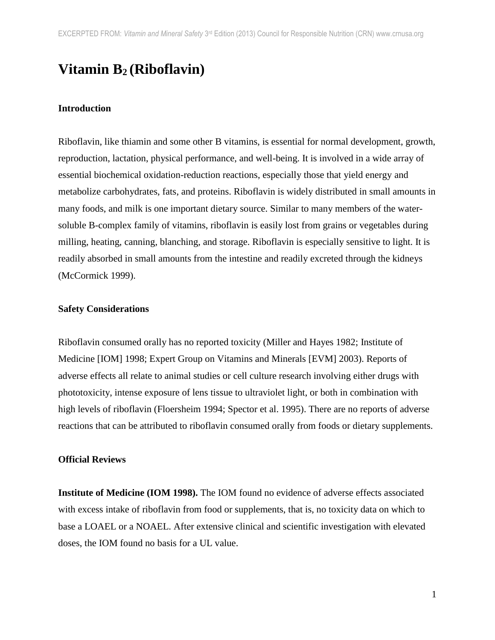# **Vitamin B<sup>2</sup> (Riboflavin)**

#### **Introduction**

Riboflavin, like thiamin and some other B vitamins, is essential for normal development, growth, reproduction, lactation, physical performance, and well-being. It is involved in a wide array of essential biochemical oxidation-reduction reactions, especially those that yield energy and metabolize carbohydrates, fats, and proteins. Riboflavin is widely distributed in small amounts in many foods, and milk is one important dietary source. Similar to many members of the watersoluble B-complex family of vitamins, riboflavin is easily lost from grains or vegetables during milling, heating, canning, blanching, and storage. Riboflavin is especially sensitive to light. It is readily absorbed in small amounts from the intestine and readily excreted through the kidneys (McCormick 1999).

#### **Safety Considerations**

Riboflavin consumed orally has no reported toxicity (Miller and Hayes 1982; Institute of Medicine [IOM] 1998; Expert Group on Vitamins and Minerals [EVM] 2003). Reports of adverse effects all relate to animal studies or cell culture research involving either drugs with phototoxicity, intense exposure of lens tissue to ultraviolet light, or both in combination with high levels of riboflavin (Floersheim 1994; Spector et al. 1995). There are no reports of adverse reactions that can be attributed to riboflavin consumed orally from foods or dietary supplements.

#### **Official Reviews**

**Institute of Medicine (IOM 1998).** The IOM found no evidence of adverse effects associated with excess intake of riboflavin from food or supplements, that is, no toxicity data on which to base a LOAEL or a NOAEL. After extensive clinical and scientific investigation with elevated doses, the IOM found no basis for a UL value.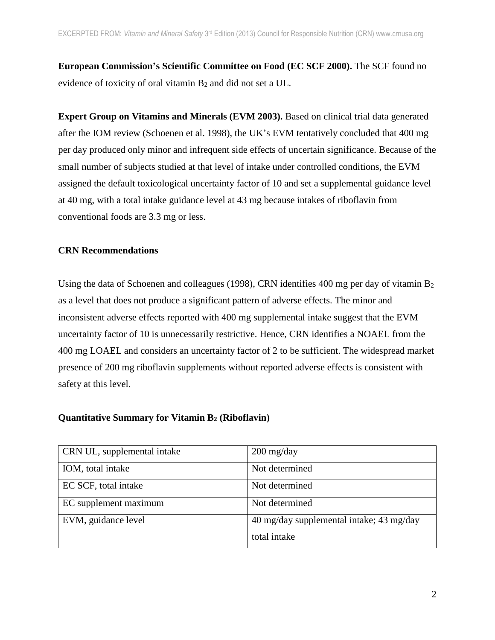**European Commission's Scientific Committee on Food (EC SCF 2000).** The SCF found no evidence of toxicity of oral vitamin B<sup>2</sup> and did not set a UL.

**Expert Group on Vitamins and Minerals (EVM 2003).** Based on clinical trial data generated after the IOM review (Schoenen et al. 1998), the UK's EVM tentatively concluded that 400 mg per day produced only minor and infrequent side effects of uncertain significance. Because of the small number of subjects studied at that level of intake under controlled conditions, the EVM assigned the default toxicological uncertainty factor of 10 and set a supplemental guidance level at 40 mg, with a total intake guidance level at 43 mg because intakes of riboflavin from conventional foods are 3.3 mg or less.

## **CRN Recommendations**

Using the data of Schoenen and colleagues (1998), CRN identifies 400 mg per day of vitamin  $B_2$ as a level that does not produce a significant pattern of adverse effects. The minor and inconsistent adverse effects reported with 400 mg supplemental intake suggest that the EVM uncertainty factor of 10 is unnecessarily restrictive. Hence, CRN identifies a NOAEL from the 400 mg LOAEL and considers an uncertainty factor of 2 to be sufficient. The widespread market presence of 200 mg riboflavin supplements without reported adverse effects is consistent with safety at this level.

| CRN UL, supplemental intake | $200 \frac{\text{mg}}{\text{day}}$       |
|-----------------------------|------------------------------------------|
| IOM, total intake           | Not determined                           |
| EC SCF, total intake        | Not determined                           |
| EC supplement maximum       | Not determined                           |
| EVM, guidance level         | 40 mg/day supplemental intake; 43 mg/day |
|                             | total intake                             |

### **Quantitative Summary for Vitamin B<sup>2</sup> (Riboflavin)**